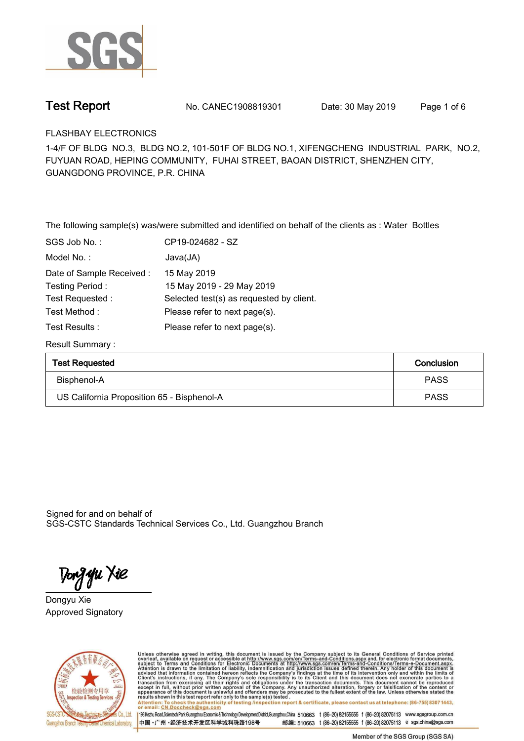

**Test Report. No. CANEC1908819301** Date: 30 May 2019 Page 1 of 6

**FLASHBAY ELECTRONICS.**

**1-4/F OF BLDG NO.3, BLDG NO.2, 101-501F OF BLDG NO.1, XIFENGCHENG INDUSTRIAL PARK, NO.2, FUYUAN ROAD, HEPING COMMUNITY, FUHAI STREET, BAOAN DISTRICT, SHENZHEN CITY, GUANGDONG PROVINCE, P.R. CHINA**

**The following sample(s) was/were submitted and identified on behalf of the clients as : Water Bottles.**

| SGS Job No.:             | CP19-024682 - SZ                         |
|--------------------------|------------------------------------------|
| Model No. :              | Java(JA)                                 |
| Date of Sample Received: | 15 May 2019                              |
| Testing Period:          | 15 May 2019 - 29 May 2019                |
| Test Requested:          | Selected test(s) as requested by client. |
| Test Method :            | Please refer to next page(s).            |
| Test Results:            | Please refer to next page(s).            |
|                          |                                          |

**Result Summary :.**

| <b>Test Requested</b>                      | Conclusion  |
|--------------------------------------------|-------------|
| Bisphenol-A                                | <b>PASS</b> |
| US California Proposition 65 - Bisphenol-A | <b>PASS</b> |

Signed for and on behalf of SGS-CSTC Standards Technical Services Co., Ltd. Guangzhou Branch.

Tong **y**u Xie

**Dongyu Xie. Approved Signatory. . .**



Unless otherwise agreed in writing, this document is issued by the Company subject to its General Conditions of Service printed overleaf, available on request or accessible at http://www.sgs.com/en/Terms-and-Conditions.asp Attention: To check the authenticity of testing /inspection report & certificate, please contact us at telephone: (86-755) 8307 1443,<br>or email: CN.Doccheck@sgs.com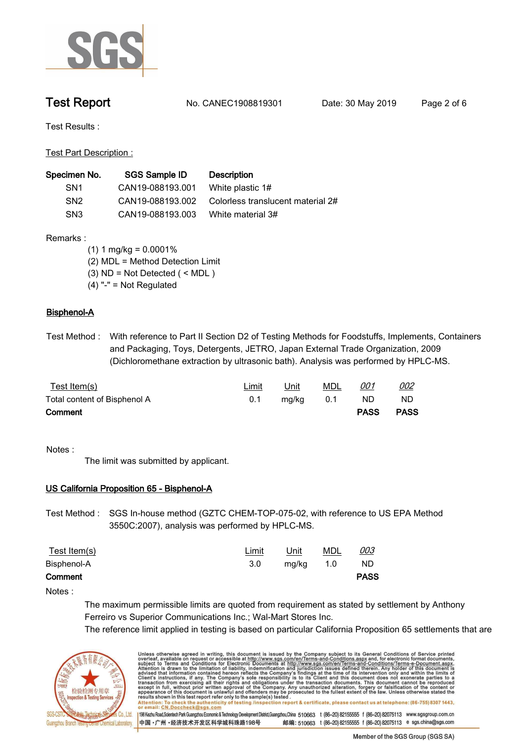

**Test Report. No. CANEC1908819301** Date: 30 May 2019 Page 2 of 6

**Test Results :.**

**Test Part Description :.**

| Specimen No.    | SGS Sample ID    | <b>Description</b>                |
|-----------------|------------------|-----------------------------------|
| SN <sub>1</sub> | CAN19-088193.001 | White plastic 1#                  |
| SN <sub>2</sub> | CAN19-088193.002 | Colorless translucent material 2# |
| SN <sub>3</sub> | CAN19-088193.003 | White material 3#                 |

**Remarks :**

- **(1) 1 mg/kg = 0.0001% (2) MDL = Method Detection Limit (3) ND = Not Detected ( < MDL )**
- **(4) "-" = Not Regulated**

## **Bisphenol-A.**

**Test Method :. With reference to Part II Section D2 of Testing Methods for Foodstuffs, Implements, Containers and Packaging, Toys, Detergents, JETRO, Japan External Trade Organization, 2009 (Dichloromethane extraction by ultrasonic bath). Analysis was performed by HPLC-MS..**

| <u>Test Item(s)</u>          | <u>Limit</u> | Unit  | <b>MDL</b> | 001         | <u>002</u>  |  |
|------------------------------|--------------|-------|------------|-------------|-------------|--|
| Total content of Bisphenol A | 0.1          | mg/kg | 0.1        | ND.         | ND          |  |
| Comment                      |              |       |            | <b>PASS</b> | <b>PASS</b> |  |

### **Notes :.**

**The limit was submitted by applicant..**

### **US California Proposition 65 - Bisphenol-A.**

**Test Method :. SGS In-house method (GZTC CHEM-TOP-075-02, with reference to US EPA Method 3550C:2007), analysis was performed by HPLC-MS..**

| <u>Test Item(s)</u> | <u>Limit</u> | <u>Unit</u> | <b>MDL</b> | <u>003</u>  |
|---------------------|--------------|-------------|------------|-------------|
| Bisphenol-A         | 3.0          | mg/kg 1.0   |            | ND          |
| Comment             |              |             |            | <b>PASS</b> |

**Notes :.**

**The maximum permissible limits are quoted from requirement as stated by settlement by Anthony Ferreiro vs Superior Communications Inc.; Wal-Mart Stores Inc.**

**The reference limit applied in testing is based on particular California Proposition 65 settlements that are** 



Unless otherwise agreed in writing, this document is issued by the Company subject to its General Conditions of Service printed overleaf, available on request or accessible at http://www.sgs.com/en/Terms-and-Conditions.asp Attention: To check the authenticity of testing /inspection report & certificate, please contact us at telephone: (86-755) 8307 1443, or email: CN.Doccheck@sgs.com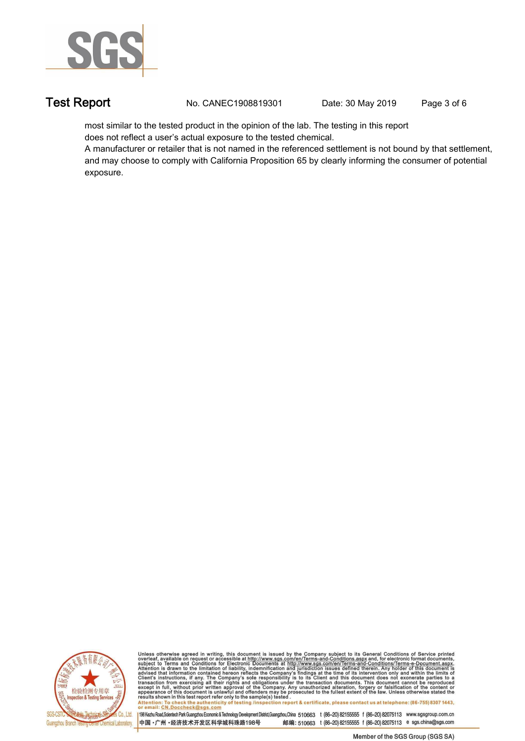

**Test Report. No. CANEC1908819301 Date: 30 May 2019. Page 3 of 6.**

**most similar to the tested product in the opinion of the lab. The testing in this report does not reflect a user's actual exposure to the tested chemical.** 

**A manufacturer or retailer that is not named in the referenced settlement is not bound by that settlement, and may choose to comply with California Proposition 65 by clearly informing the consumer of potential exposure..**



Unless otherwise agreed in writing, this document is issued by the Company subject to its General Conditions of Service printed<br>overleaf, available on request or accessible at http://www.sgs.com/en/Terms-and-Conditions.asp

Attention: To check the authenticity of testing /inspection report & certificate, please contact us at telephone: (86-755) 8307 1443,<br>or email: CN.Doccheck@sgs.com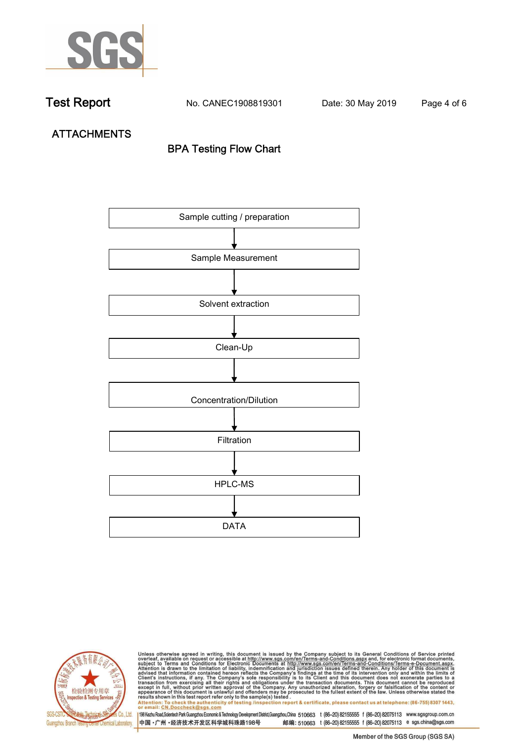

**Test Report. No. CANEC1908819301** Date: 30 May 2019 Page 4 of 6

**ATTACHMENTS BPA Testing Flow Chart**





Unless otherwise agreed in writing, this document is issued by the Company subject to its General Conditions of Service printed<br>overleaf, available on request or accessible at http://www.sgs.com/en/Terms-and-Conditions.asp results shown in this test report refer only to the sample(s) tested .<br>Attention: To check the authenticity of testing /inspection report & certificate, please contact us at telephone: (86-755) 8307 1443,<br>or email: <u>CN.Doc</u>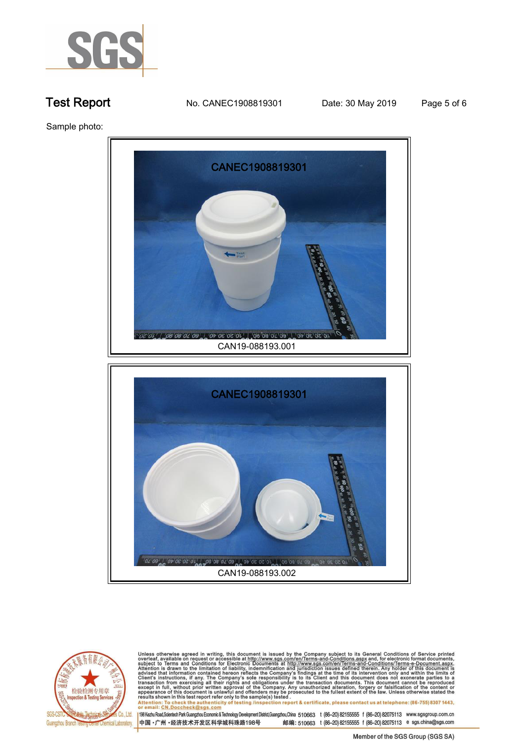

**Test Report. No. CANEC1908819301 Date: 30 May 2019. Page 5 of 6.**

**Sample photo:.**





Unless otherwise agreed in writing, this document is issued by the Company subject to its General Conditions of Service printed<br>overleaf, available on request or accessible at http://www.sgs.com/en/Terms-and-Conditions.as

results shown in this test report refer only to the sample(s) tested .<br>Attention: To check the authenticity of testing /inspection report & certificate, please contact us at telephone: (86-755) 8307 1443,<br>or email: <u>CN.Doc</u>